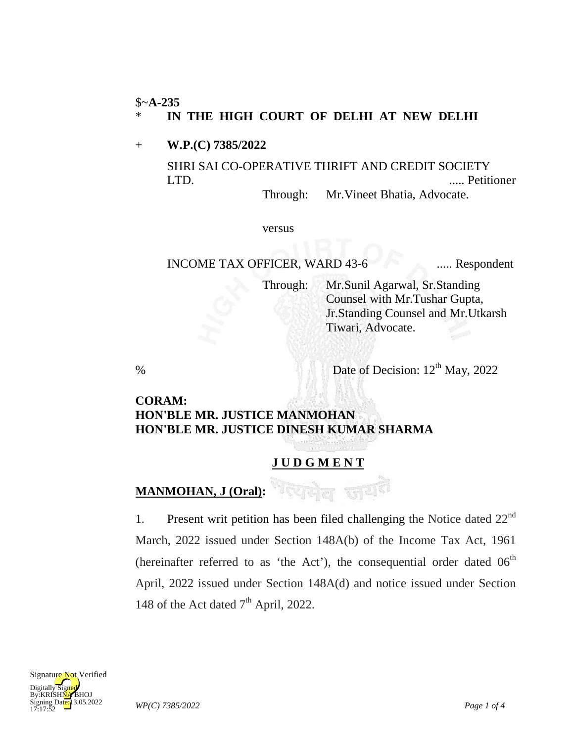#### \$~**A-235**

#### \* **IN THE HIGH COURT OF DELHI AT NEW DELHI**

+ **W.P.(C) 7385/2022**

SHRI SAI CO-OPERATIVE THRIFT AND CREDIT SOCIETY LTD. ..... Petitioner Through: Mr.Vineet Bhatia, Advocate.

versus

## INCOME TAX OFFICER, WARD 43-6 ..... Respondent

Through: Mr.Sunil Agarwal, Sr.Standing Counsel with Mr.Tushar Gupta, Jr.Standing Counsel and Mr.Utkarsh Tiwari, Advocate.

% Date of Decision:  $12<sup>th</sup>$  May, 2022

# **CORAM: HON'BLE MR. JUSTICE MANMOHAN HON'BLE MR. JUSTICE DINESH KUMAR SHARMA**

## **J U D G M E N T**

# **MANMOHAN, J (Oral):**

1. Present writ petition has been filed challenging the Notice dated  $22<sup>nd</sup>$ March, 2022 issued under Section 148A(b) of the Income Tax Act, 1961 (hereinafter referred to as 'the Act'), the consequential order dated  $06<sup>th</sup>$ April, 2022 issued under Section 148A(d) and notice issued under Section 148 of the Act dated  $7<sup>th</sup>$  April, 2022.

गरेशकेल जय<sup>हा</sup>

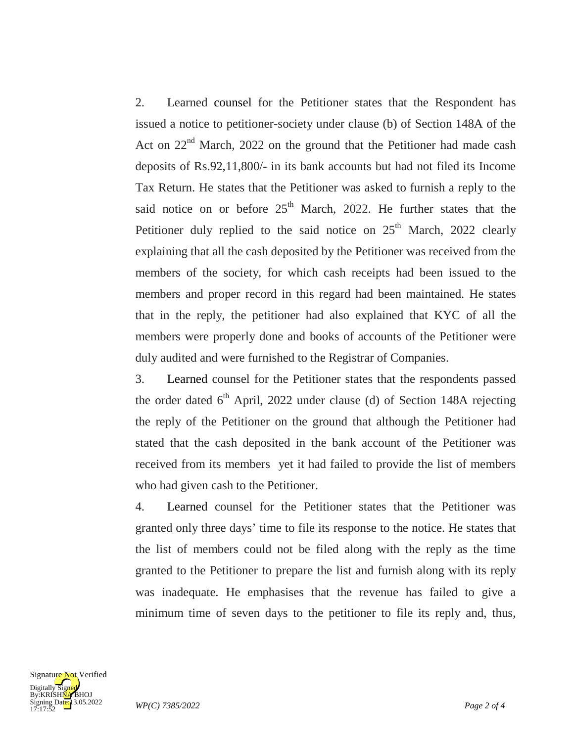2. Learned counsel for the Petitioner states that the Respondent has issued a notice to petitioner-society under clause (b) of Section 148A of the Act on  $22<sup>nd</sup>$  March, 2022 on the ground that the Petitioner had made cash deposits of Rs.92,11,800/- in its bank accounts but had not filed its Income Tax Return. He states that the Petitioner was asked to furnish a reply to the said notice on or before  $25<sup>th</sup>$  March, 2022. He further states that the Petitioner duly replied to the said notice on  $25<sup>th</sup>$  March, 2022 clearly explaining that all the cash deposited by the Petitioner was received from the members of the society, for which cash receipts had been issued to the members and proper record in this regard had been maintained. He states that in the reply, the petitioner had also explained that KYC of all the members were properly done and books of accounts of the Petitioner were duly audited and were furnished to the Registrar of Companies.

3. Learned counsel for the Petitioner states that the respondents passed the order dated  $6<sup>th</sup>$  April, 2022 under clause (d) of Section 148A rejecting the reply of the Petitioner on the ground that although the Petitioner had stated that the cash deposited in the bank account of the Petitioner was received from its members yet it had failed to provide the list of members who had given cash to the Petitioner.

4. Learned counsel for the Petitioner states that the Petitioner was granted only three days' time to file its response to the notice. He states that the list of members could not be filed along with the reply as the time granted to the Petitioner to prepare the list and furnish along with its reply was inadequate. He emphasises that the revenue has failed to give a minimum time of seven days to the petitioner to file its reply and, thus,

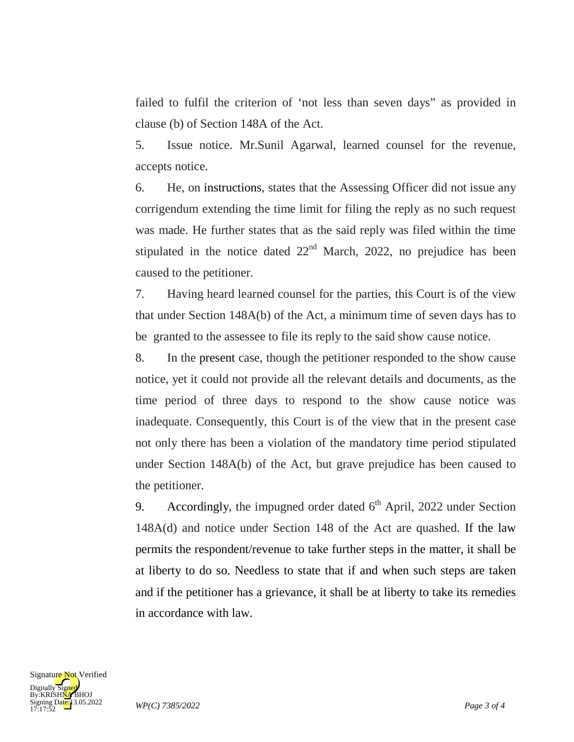failed to fulfil the criterion of 'not less than seven days" as provided in clause (b) of Section 148A of the Act.

5. Issue notice. Mr.Sunil Agarwal, learned counsel for the revenue, accepts notice.

6. He, on instructions, states that the Assessing Officer did not issue any corrigendum extending the time limit for filing the reply as no such request was made. He further states that as the said reply was filed within the time stipulated in the notice dated  $22<sup>nd</sup>$  March, 2022, no prejudice has been caused to the petitioner.

7. Having heard learned counsel for the parties, this Court is of the view that under Section 148A(b) of the Act, a minimum time of seven days has to be granted to the assessee to file its reply to the said show cause notice.

8. In the present case, though the petitioner responded to the show cause notice, yet it could not provide all the relevant details and documents, as the time period of three days to respond to the show cause notice was inadequate. Consequently, this Court is of the view that in the present case not only there has been a violation of the mandatory time period stipulated under Section 148A(b) of the Act, but grave prejudice has been caused to the petitioner.

9. Accordingly, the impugned order dated  $6<sup>th</sup>$  April, 2022 under Section 148A(d) and notice under Section 148 of the Act are quashed. If the law permits the respondent/revenue to take further steps in the matter, it shall be at liberty to do so. Needless to state that if and when such steps are taken and if the petitioner has a grievance, it shall be at liberty to take its remedies in accordance with law.